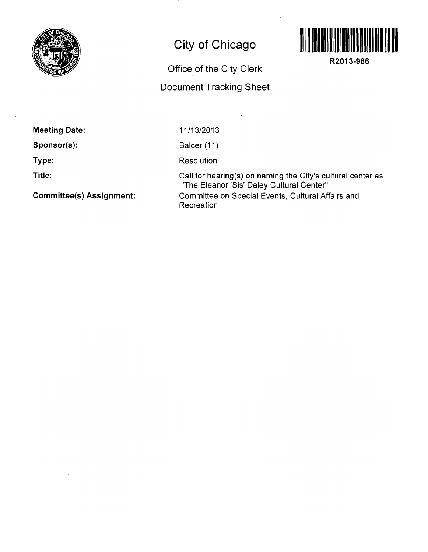

## **City of Chicago**



**R2013-986** 

Office of the City Clerk

## Document Tracking Sheet

Meeting Date:

Sponsor(s):

Type:

Title:

Committee(s) Assignment:

11/13/2013

Balcer (11)

**Resolution** 

Call for hearing(s) on naming the City's cultural center as "The Eleanor 'Sis' Daley Cultural Center" Committee on Special Events, Cultural Affairs and Recreation